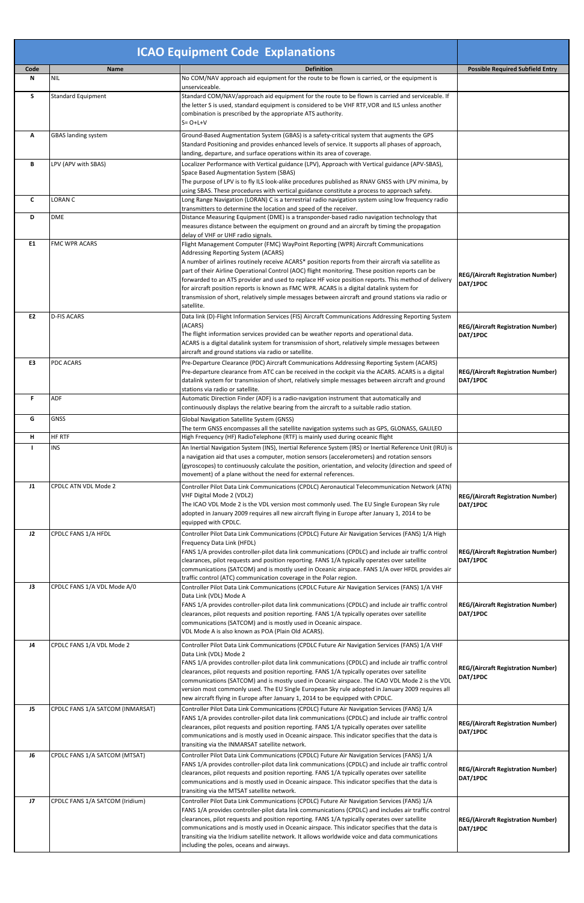|                |                                  | <b>ICAO Equipment Code Explanations</b>                                                                                                                                                                                                                                                                                                                                                                                                                                                                                                                                                                                                                      |                                                       |
|----------------|----------------------------------|--------------------------------------------------------------------------------------------------------------------------------------------------------------------------------------------------------------------------------------------------------------------------------------------------------------------------------------------------------------------------------------------------------------------------------------------------------------------------------------------------------------------------------------------------------------------------------------------------------------------------------------------------------------|-------------------------------------------------------|
| Code<br>N      | <b>Name</b><br>NIL               | <b>Definition</b><br>No COM/NAV approach aid equipment for the route to be flown is carried, or the equipment is                                                                                                                                                                                                                                                                                                                                                                                                                                                                                                                                             | <b>Possible Required Subfield Entry</b>               |
|                |                                  | unserviceable.                                                                                                                                                                                                                                                                                                                                                                                                                                                                                                                                                                                                                                               |                                                       |
| S              | <b>Standard Equipment</b>        | Standard COM/NAV/approach aid equipment for the route to be flown is carried and serviceable. If<br>the letter S is used, standard equipment is considered to be VHF RTF, VOR and ILS unless another<br>combination is prescribed by the appropriate ATS authority.<br>$S = O + L + V$                                                                                                                                                                                                                                                                                                                                                                       |                                                       |
| Α              | <b>GBAS landing system</b>       | Ground-Based Augmentation System (GBAS) is a safety-critical system that augments the GPS<br>Standard Positioning and provides enhanced levels of service. It supports all phases of approach,<br>landing, departure, and surface operations within its area of coverage.                                                                                                                                                                                                                                                                                                                                                                                    |                                                       |
| В              | LPV (APV with SBAS)              | Localizer Performance with Vertical guidance (LPV), Approach with Vertical guidance (APV-SBAS),<br>Space Based Augmentation System (SBAS)<br>The purpose of LPV is to fly ILS look-alike procedures published as RNAV GNSS with LPV minima, by<br>using SBAS. These procedures with vertical guidance constitute a process to approach safety.                                                                                                                                                                                                                                                                                                               |                                                       |
| $\mathsf{C}$   | <b>LORAN C</b>                   | Long Range Navigation (LORAN) C is a terrestrial radio navigation system using low frequency radio                                                                                                                                                                                                                                                                                                                                                                                                                                                                                                                                                           |                                                       |
| D              | <b>DME</b>                       | transmitters to determine the location and speed of the receiver.<br>Distance Measuring Equipment (DME) is a transponder-based radio navigation technology that<br>measures distance between the equipment on ground and an aircraft by timing the propagation<br>delay of VHF or UHF radio signals.                                                                                                                                                                                                                                                                                                                                                         |                                                       |
| E <sub>1</sub> | <b>FMC WPR ACARS</b>             | Flight Management Computer (FMC) WayPoint Reporting (WPR) Aircraft Communications<br>Addressing Reporting System (ACARS)<br>A number of airlines routinely receive ACARS* position reports from their aircraft via satellite as<br>part of their Airline Operational Control (AOC) flight monitoring. These position reports can be<br>forwarded to an ATS provider and used to replace HF voice position reports. This method of delivery<br>for aircraft position reports is known as FMC WPR. ACARS is a digital datalink system for<br>transmission of short, relatively simple messages between aircraft and ground stations via radio or<br>satellite. | <b>REG/(Aircraft Registration Number)</b><br>DAT/1PDC |
| E2             | <b>D-FIS ACARS</b>               | Data link (D)-Flight Information Services (FIS) Aircraft Communications Addressing Reporting System<br>(ACARS)<br>The flight information services provided can be weather reports and operational data.<br>ACARS is a digital datalink system for transmission of short, relatively simple messages between<br>aircraft and ground stations via radio or satellite.                                                                                                                                                                                                                                                                                          | <b>REG/(Aircraft Registration Number)</b><br>DAT/1PDC |
| E3             | <b>PDC ACARS</b>                 | Pre-Departure Clearance (PDC) Aircraft Communications Addressing Reporting System (ACARS)<br>Pre-departure clearance from ATC can be received in the cockpit via the ACARS. ACARS is a digital<br>datalink system for transmission of short, relatively simple messages between aircraft and ground<br>stations via radio or satellite.                                                                                                                                                                                                                                                                                                                      | <b>REG/(Aircraft Registration Number)</b><br>DAT/1PDC |
| F              | <b>ADF</b>                       | Automatic Direction Finder (ADF) is a radio-navigation instrument that automatically and<br>continuously displays the relative bearing from the aircraft to a suitable radio station.                                                                                                                                                                                                                                                                                                                                                                                                                                                                        |                                                       |
| G              | <b>GNSS</b>                      | Global Navigation Satellite System (GNSS)<br>The term GNSS encompasses all the satellite navigation systems such as GPS, GLONASS, GALILEO                                                                                                                                                                                                                                                                                                                                                                                                                                                                                                                    |                                                       |
| $\mathsf H$    | <b>HF RTF</b>                    | High Frequency (HF) RadioTelephone (RTF) is mainly used during oceanic flight                                                                                                                                                                                                                                                                                                                                                                                                                                                                                                                                                                                |                                                       |
| H              | <b>INS</b>                       | An Inertial Navigation System (INS), Inertial Reference System (IRS) or Inertial Reference Unit (IRU) is<br>a navigation aid that uses a computer, motion sensors (accelerometers) and rotation sensors<br>(gyroscopes) to continuously calculate the position, orientation, and velocity (direction and speed of<br>movement) of a plane without the need for external references.                                                                                                                                                                                                                                                                          |                                                       |
| J1             | <b>CPDLC ATN VDL Mode 2</b>      | Controller Pilot Data Link Communications (CPDLC) Aeronautical Telecommunication Network (ATN)<br>VHF Digital Mode 2 (VDL2)<br>The ICAO VDL Mode 2 is the VDL version most commonly used. The EU Single European Sky rule<br>adopted in January 2009 requires all new aircraft flying in Europe after January 1, 2014 to be<br>equipped with CPDLC.                                                                                                                                                                                                                                                                                                          | <b>REG/(Aircraft Registration Number)</b><br>DAT/1PDC |
| J2             | CPDLC FANS 1/A HFDL              | Controller Pilot Data Link Communications (CPDLC) Future Air Navigation Services (FANS) 1/A High<br>Frequency Data Link (HFDL)<br>FANS 1/A provides controller-pilot data link communications (CPDLC) and include air traffic control<br>clearances, pilot requests and position reporting. FANS 1/A typically operates over satellite<br>communications (SATCOM) and is mostly used in Oceanic airspace. FANS 1/A over HFDL provides air<br>traffic control (ATC) communication coverage in the Polar region.                                                                                                                                               | <b>REG/(Aircraft Registration Number)</b><br>DAT/1PDC |
| J3             | CPDLC FANS 1/A VDL Mode A/0      | Controller Pilot Data Link Communications (CPDLC Future Air Navigation Services (FANS) 1/A VHF<br>Data Link (VDL) Mode A<br>FANS 1/A provides controller-pilot data link communications (CPDLC) and include air traffic control<br>clearances, pilot requests and position reporting. FANS 1/A typically operates over satellite<br>communications (SATCOM) and is mostly used in Oceanic airspace.<br>VDL Mode A is also known as POA (Plain Old ACARS).                                                                                                                                                                                                    | <b>REG/(Aircraft Registration Number)</b><br>DAT/1PDC |
| J <sub>4</sub> | CPDLC FANS 1/A VDL Mode 2        | Controller Pilot Data Link Communications (CPDLC Future Air Navigation Services (FANS) 1/A VHF<br>Data Link (VDL) Mode 2<br>FANS 1/A provides controller-pilot data link communications (CPDLC) and include air traffic control<br>clearances, pilot requests and position reporting. FANS 1/A typically operates over satellite<br>communications (SATCOM) and is mostly used in Oceanic airspace. The ICAO VDL Mode 2 is the VDL<br>version most commonly used. The EU Single European Sky rule adopted in January 2009 requires all<br>new aircraft flying in Europe after January 1, 2014 to be equipped with CPDLC.                                     | <b>REG/(Aircraft Registration Number)</b><br>DAT/1PDC |
| J5             | CPDLC FANS 1/A SATCOM (INMARSAT) | Controller Pilot Data Link Communications (CPDLC) Future Air Navigation Services (FANS) 1/A<br>FANS 1/A provides controller-pilot data link communications (CPDLC) and include air traffic control<br>clearances, pilot requests and position reporting. FANS 1/A typically operates over satellite<br>communications and is mostly used in Oceanic airspace. This indicator specifies that the data is<br>transiting via the INMARSAT satellite network.                                                                                                                                                                                                    | <b>REG/(Aircraft Registration Number)</b><br>DAT/1PDC |
| J6             | CPDLC FANS 1/A SATCOM (MTSAT)    | Controller Pilot Data Link Communications (CPDLC) Future Air Navigation Services (FANS) 1/A<br>FANS 1/A provides controller-pilot data link communications (CPDLC) and include air traffic control<br>clearances, pilot requests and position reporting. FANS 1/A typically operates over satellite<br>communications and is mostly used in Oceanic airspace. This indicator specifies that the data is<br>transiting via the MTSAT satellite network.                                                                                                                                                                                                       | <b>REG/(Aircraft Registration Number)</b><br>DAT/1PDC |
| J7             | CPDLC FANS 1/A SATCOM (Iridium)  | Controller Pilot Data Link Communications (CPDLC) Future Air Navigation Services (FANS) 1/A<br>FANS 1/A provides controller-pilot data link communications (CPDLC) and includes air traffic control<br>clearances, pilot requests and position reporting. FANS 1/A typically operates over satellite<br>communications and is mostly used in Oceanic airspace. This indicator specifies that the data is<br>transiting via the Iridium satellite network. It allows worldwide voice and data communications<br>including the poles, oceans and airways.                                                                                                      | <b>REG/(Aircraft Registration Number)</b><br>DAT/1PDC |